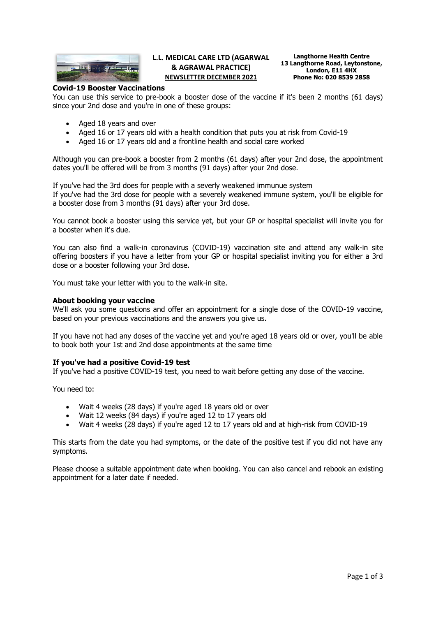

# **L.L. MEDICAL CARE LTD (AGARWAL & AGRAWAL PRACTICE) NEWSLETTER DECEMBER 2021**

**Langthorne Health Centre 13 Langthorne Road, Leytonstone, London, E11 4HX Phone No: 020 8539 2858**

## **Covid-19 Booster Vaccinations**

You can use this service to pre-book a booster dose of the vaccine if it's been 2 months (61 days) since your 2nd dose and you're in one of these groups:

- Aged 18 years and over
- Aged 16 or 17 years old with a health condition that puts you at risk from Covid-19
- Aged 16 or 17 years old and a frontline health and social care worked

Although you can pre-book a booster from 2 months (61 days) after your 2nd dose, the appointment dates you'll be offered will be from 3 months (91 days) after your 2nd dose.

If you've had the 3rd does for people with a severly weakened immunue system If you've had the 3rd dose for people with a severely weakened immune system, you'll be eligible for a booster dose from 3 months (91 days) after your 3rd dose.

You cannot book a booster using this service yet, but your GP or hospital specialist will invite you for a booster when it's due.

You can also find a walk-in coronavirus (COVID-19) vaccination site and attend any walk-in site offering boosters if you have a letter from your GP or hospital specialist inviting you for either a 3rd dose or a booster following your 3rd dose.

You must take your letter with you to the walk-in site.

### **About booking your vaccine**

We'll ask you some questions and offer an appointment for a single dose of the COVID-19 vaccine, based on your previous vaccinations and the answers you give us.

If you have not had any doses of the vaccine yet and you're aged 18 years old or over, you'll be able to book both your 1st and 2nd dose appointments at the same time

#### **If you've had a positive Covid-19 test**

If you've had a positive COVID-19 test, you need to wait before getting any dose of the vaccine.

You need to:

- Wait 4 weeks (28 days) if you're aged 18 years old or over
- Wait 12 weeks (84 days) if you're aged 12 to 17 years old
- Wait 4 weeks (28 days) if you're aged 12 to 17 years old and at high-risk from COVID-19

This starts from the date you had symptoms, or the date of the positive test if you did not have any symptoms.

Please choose a suitable appointment date when booking. You can also cancel and rebook an existing appointment for a later date if needed.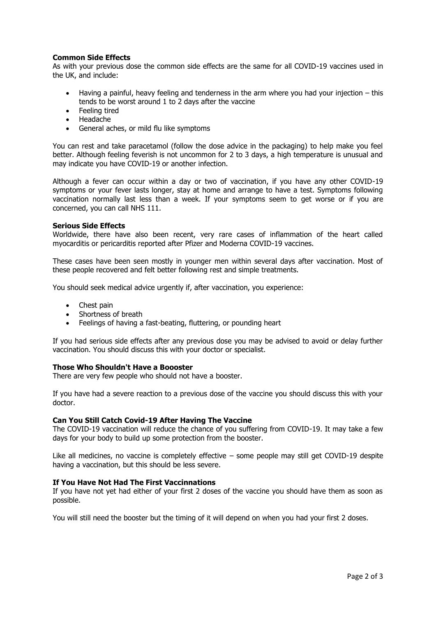# **Common Side Effects**

As with your previous dose the common side effects are the same for all COVID-19 vaccines used in the UK, and include:

- Having a painful, heavy feeling and tenderness in the arm where you had your injection this tends to be worst around 1 to 2 days after the vaccine
- Feeling tired
- Headache
- General aches, or mild flu like symptoms

You can rest and take paracetamol (follow the dose advice in the packaging) to help make you feel better. Although feeling feverish is not uncommon for 2 to 3 days, a high temperature is unusual and may indicate you have COVID-19 or another infection.

Although a fever can occur within a day or two of vaccination, if you have any other COVID-19 symptoms or your fever lasts longer, stay at home and arrange to have a test. Symptoms following vaccination normally last less than a week. If your symptoms seem to get worse or if you are concerned, you can call NHS 111.

### **Serious Side Effects**

Worldwide, there have also been recent, very rare cases of inflammation of the heart called myocarditis or pericarditis reported after Pfizer and Moderna COVID-19 vaccines.

These cases have been seen mostly in younger men within several days after vaccination. Most of these people recovered and felt better following rest and simple treatments.

You should seek medical advice urgently if, after vaccination, you experience:

- Chest pain
- Shortness of breath
- Feelings of having a fast-beating, fluttering, or pounding heart

If you had serious side effects after any previous dose you may be advised to avoid or delay further vaccination. You should discuss this with your doctor or specialist.

#### **Those Who Shouldn't Have a Boooster**

There are very few people who should not have a booster.

If you have had a severe reaction to a previous dose of the vaccine you should discuss this with your doctor.

## **Can You Still Catch Covid-19 After Having The Vaccine**

The COVID-19 vaccination will reduce the chance of you suffering from COVID-19. It may take a few days for your body to build up some protection from the booster.

Like all medicines, no vaccine is completely effective – some people may still get COVID-19 despite having a vaccination, but this should be less severe.

## **If You Have Not Had The First Vaccinnations**

If you have not yet had either of your first 2 doses of the vaccine you should have them as soon as possible.

You will still need the booster but the timing of it will depend on when you had your first 2 doses.